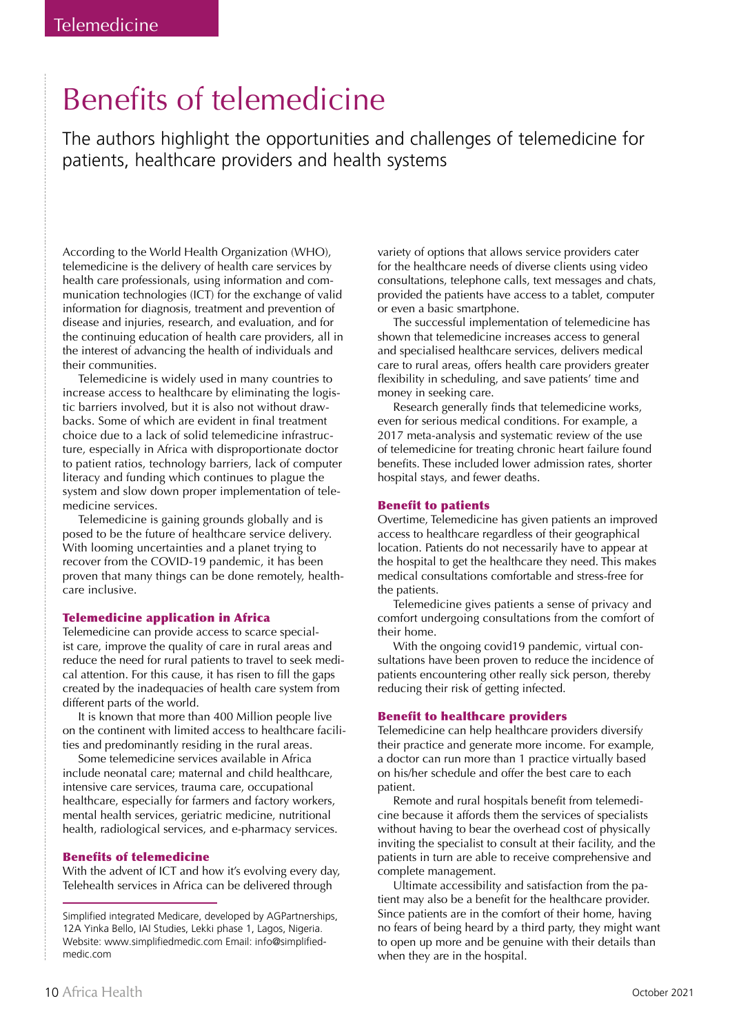# Benefits of telemedicine

The authors highlight the opportunities and challenges of telemedicine for patients, healthcare providers and health systems

According to the World Health Organization (WHO), telemedicine is the delivery of health care services by health care professionals, using information and communication technologies (ICT) for the exchange of valid information for diagnosis, treatment and prevention of disease and injuries, research, and evaluation, and for the continuing education of health care providers, all in the interest of advancing the health of individuals and their communities.

Telemedicine is widely used in many countries to increase access to healthcare by eliminating the logistic barriers involved, but it is also not without drawbacks. Some of which are evident in final treatment choice due to a lack of solid telemedicine infrastructure, especially in Africa with disproportionate doctor to patient ratios, technology barriers, lack of computer literacy and funding which continues to plague the system and slow down proper implementation of telemedicine services.

Telemedicine is gaining grounds globally and is posed to be the future of healthcare service delivery. With looming uncertainties and a planet trying to recover from the COVID-19 pandemic, it has been proven that many things can be done remotely, healthcare inclusive.

# Telemedicine application in Africa

Telemedicine can provide access to scarce specialist care, improve the quality of care in rural areas and reduce the need for rural patients to travel to seek medical attention. For this cause, it has risen to fill the gaps created by the inadequacies of health care system from different parts of the world.

It is known that more than 400 Million people live on the continent with limited access to healthcare facilities and predominantly residing in the rural areas.

Some telemedicine services available in Africa include neonatal care; maternal and child healthcare, intensive care services, trauma care, occupational healthcare, especially for farmers and factory workers, mental health services, geriatric medicine, nutritional health, radiological services, and e-pharmacy services.

## Benefits of telemedicine

With the advent of ICT and how it's evolving every day, Telehealth services in Africa can be delivered through

variety of options that allows service providers cater for the healthcare needs of diverse clients using video consultations, telephone calls, text messages and chats, provided the patients have access to a tablet, computer or even a basic smartphone.

The successful implementation of telemedicine has shown that telemedicine increases access to general and specialised healthcare services, delivers medical care to rural areas, offers health care providers greater flexibility in scheduling, and save patients' time and money in seeking care.

Research generally finds that telemedicine works, even for serious medical conditions. For example, a 2017 meta-analysis and systematic review of the use of telemedicine for treating chronic heart failure found benefits. These included lower admission rates, shorter hospital stays, and fewer deaths.

## Benefit to patients

Overtime, Telemedicine has given patients an improved access to healthcare regardless of their geographical location. Patients do not necessarily have to appear at the hospital to get the healthcare they need. This makes medical consultations comfortable and stress-free for the patients.

Telemedicine gives patients a sense of privacy and comfort undergoing consultations from the comfort of their home.

With the ongoing covid19 pandemic, virtual consultations have been proven to reduce the incidence of patients encountering other really sick person, thereby reducing their risk of getting infected.

## Benefit to healthcare providers

Telemedicine can help healthcare providers diversify their practice and generate more income. For example, a doctor can run more than 1 practice virtually based on his/her schedule and offer the best care to each patient.

Remote and rural hospitals benefit from telemedicine because it affords them the services of specialists without having to bear the overhead cost of physically inviting the specialist to consult at their facility, and the patients in turn are able to receive comprehensive and complete management.

Ultimate accessibility and satisfaction from the pa tient may also be a benefit for the healthcare provider. Since patients are in the comfort of their home, having no fears of being heard by a third party, they might want to open up more and be genuine with their details than when they are in the hospital.

Simplified integrated Medicare, developed by AGPartnerships, 12A Yinka Bello, IAI Studies, Lekki phase 1, Lagos, Nigeria. Website: www.simplifiedmedic.com Email: info@simplifiedmedic.com